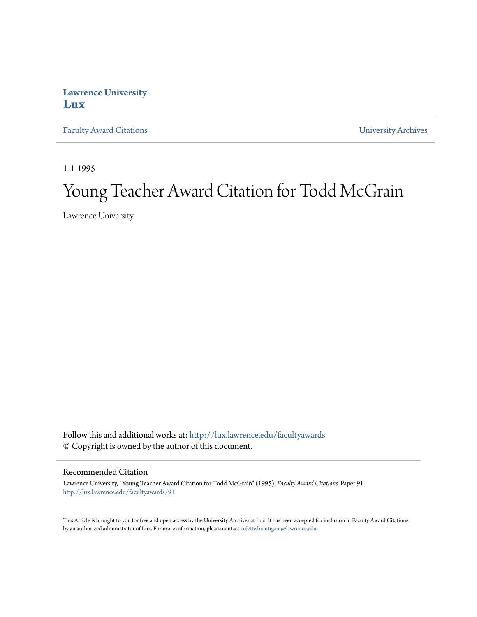## **Lawrence University [Lux](http://lux.lawrence.edu?utm_source=lux.lawrence.edu%2Ffacultyawards%2F91&utm_medium=PDF&utm_campaign=PDFCoverPages)**

[Faculty Award Citations](http://lux.lawrence.edu/facultyawards?utm_source=lux.lawrence.edu%2Ffacultyawards%2F91&utm_medium=PDF&utm_campaign=PDFCoverPages) **Example 2018** [University Archives](http://lux.lawrence.edu/archives?utm_source=lux.lawrence.edu%2Ffacultyawards%2F91&utm_medium=PDF&utm_campaign=PDFCoverPages)

1-1-1995

# Young Teacher Award Citation for Todd McGrain

Lawrence University

Follow this and additional works at: [http://lux.lawrence.edu/facultyawards](http://lux.lawrence.edu/facultyawards?utm_source=lux.lawrence.edu%2Ffacultyawards%2F91&utm_medium=PDF&utm_campaign=PDFCoverPages) © Copyright is owned by the author of this document.

#### Recommended Citation

Lawrence University, "Young Teacher Award Citation for Todd McGrain" (1995). *Faculty Award Citations.* Paper 91. [http://lux.lawrence.edu/facultyawards/91](http://lux.lawrence.edu/facultyawards/91?utm_source=lux.lawrence.edu%2Ffacultyawards%2F91&utm_medium=PDF&utm_campaign=PDFCoverPages)

This Article is brought to you for free and open access by the University Archives at Lux. It has been accepted for inclusion in Faculty Award Citations by an authorized administrator of Lux. For more information, please contact [colette.brautigam@lawrence.edu](mailto:colette.brautigam@lawrence.edu).